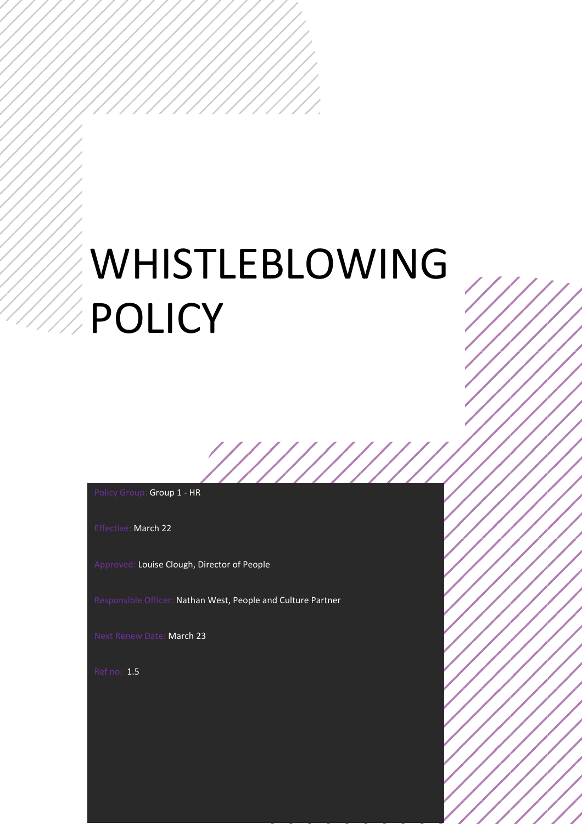# WHISTLEBLOWING POLICY

//////////

Policy Group: Group 1 - HR

Effective: March 22

Approved: Louise Clough, Director of People

Responsible Officer: Nathan West, People and Culture Partner

**Policy Group: HR**

**Effective: 01 May 2019**

**Director of People**

**Approved: Gail Crossman, Director of Performance and Development**

**Responsible officer: Louise Clough,** 

**Next renew due: January 2022**

Next Renew Date: March 23

Ref no: 1.5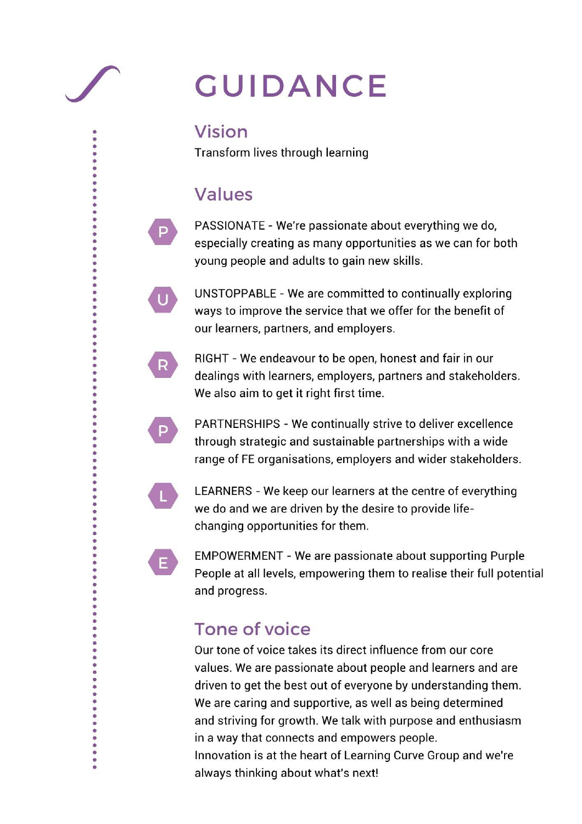## **GUIDANCE**

**Vision** 

 $\ddot{\bullet}$ 

 $\bullet$ 

 $\ddot{\bullet}$ 

 $\begin{array}{ccc}\n\bullet & \bullet & \bullet & \bullet\n\end{array}$ 

 $\bullet$ 

Transform lives through learning

## Values

 $\cup$ 

R

P.

PASSIONATE - We're passionate about everything we do, especially creating as many opportunities as we can for both young people and adults to gain new skills.

UNSTOPPABLE - We are committed to continually exploring ways to improve the service that we offer for the benefit of our learners, partners, and employers.

RIGHT - We endeavour to be open, honest and fair in our dealings with learners, employers, partners and stakeholders. We also aim to get it right first time.

PARTNERSHIPS - We continually strive to deliver excellence through strategic and sustainable partnerships with a wide range of FE organisations, employers and wider stakeholders.

LEARNERS - We keep our learners at the centre of everything we do and we are driven by the desire to provide lifechanging opportunities for them.

**EMPOWERMENT - We are passionate about supporting Purple** People at all levels, empowering them to realise their full potential and progress.

## **Tone of voice**

Our tone of voice takes its direct influence from our core values. We are passionate about people and learners and are driven to get the best out of everyone by understanding them. We are caring and supportive, as well as being determined and striving for growth. We talk with purpose and enthusiasm in a way that connects and empowers people. Innovation is at the heart of Learning Curve Group and we're always thinking about what's next!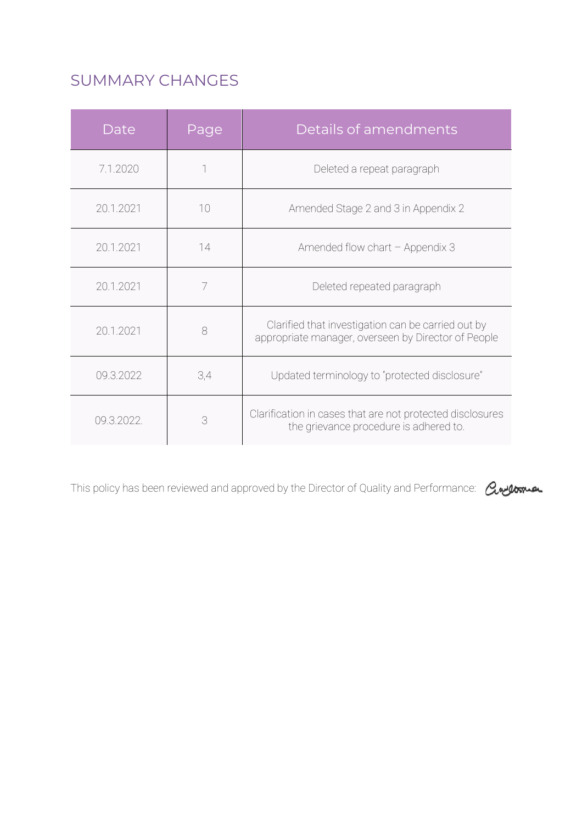## SUMMARY CHANGES

| Date       | Page | Details of amendments                                                                                     |
|------------|------|-----------------------------------------------------------------------------------------------------------|
| 7.1.2020   |      | Deleted a repeat paragraph                                                                                |
| 20.1.2021  | 10   | Amended Stage 2 and 3 in Appendix 2                                                                       |
| 20.1.2021  | 14   | Amended flow chart $-$ Appendix 3                                                                         |
| 20.1.2021  | 7    | Deleted repeated paragraph                                                                                |
| 20.1.2021  | 8    | Clarified that investigation can be carried out by<br>appropriate manager, overseen by Director of People |
| 09.3.2022  | 3,4  | Updated terminology to "protected disclosure"                                                             |
| 09.3.2022. | 3    | Clarification in cases that are not protected disclosures<br>the grievance procedure is adhered to.       |

This policy has been reviewed and approved by the Director of Quality and Performance:  $\alpha$ 

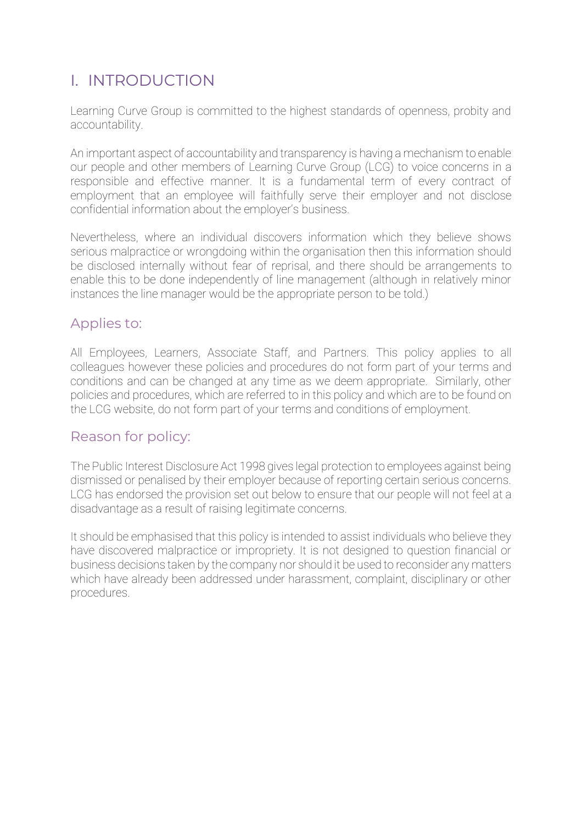## I. INTRODUCTION

Learning Curve Group is committed to the highest standards of openness, probity and accountability.

An important aspect of accountability and transparency is having a mechanism to enable our people and other members of Learning Curve Group (LCG) to voice concerns in a responsible and effective manner. It is a fundamental term of every contract of employment that an employee will faithfully serve their employer and not disclose confidential information about the employer's business.

Nevertheless, where an individual discovers information which they believe shows serious malpractice or wrongdoing within the organisation then this information should be disclosed internally without fear of reprisal, and there should be arrangements to enable this to be done independently of line management (although in relatively minor instances the line manager would be the appropriate person to be told.)

#### Applies to:

All Employees, Learners, Associate Staff, and Partners. This policy applies to all colleagues however these policies and procedures do not form part of your terms and conditions and can be changed at any time as we deem appropriate. Similarly, other policies and procedures, which are referred to in this policy and which are to be found on the LCG website, do not form part of your terms and conditions of employment.

#### Reason for policy:

The Public Interest Disclosure Act 1998 gives legal protection to employees against being dismissed or penalised by their employer because of reporting certain serious concerns. LCG has endorsed the provision set out below to ensure that our people will not feel at a disadvantage as a result of raising legitimate concerns.

It should be emphasised that this policy is intended to assist individuals who believe they have discovered malpractice or impropriety. It is not designed to question financial or business decisions taken by the company nor should it be used to reconsider any matters which have already been addressed under harassment, complaint, disciplinary or other procedures.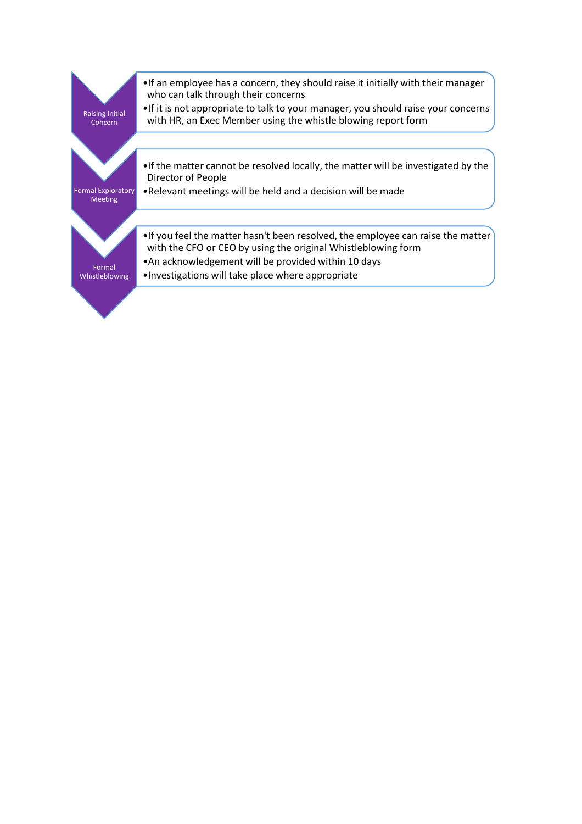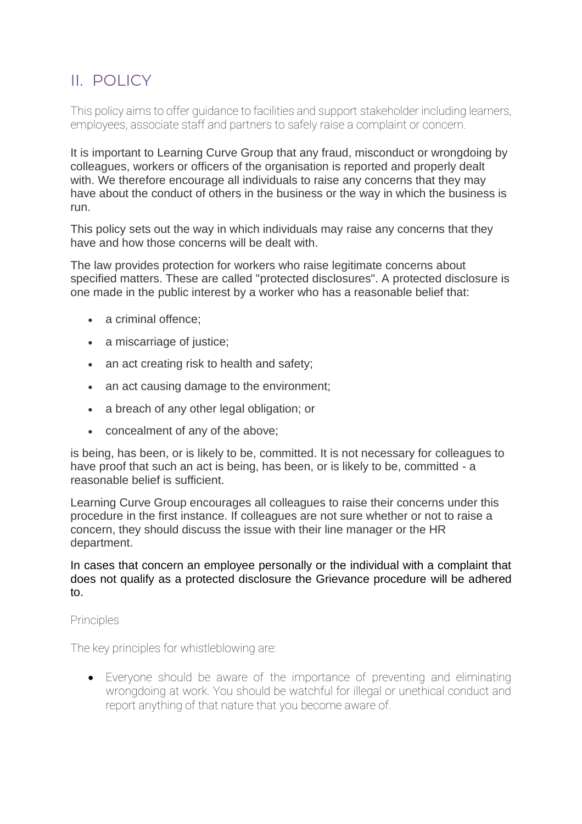## II. POLICY

This policy aims to offer guidance to facilities and support stakeholder including learners, employees, associate staff and partners to safely raise a complaint or concern.

It is important to Learning Curve Group that any fraud, misconduct or wrongdoing by colleagues, workers or officers of the organisation is reported and properly dealt with. We therefore encourage all individuals to raise any concerns that they may have about the conduct of others in the business or the way in which the business is run.

This policy sets out the way in which individuals may raise any concerns that they have and how those concerns will be dealt with.

The law provides protection for workers who raise legitimate concerns about specified matters. These are called "protected disclosures". A protected disclosure is one made in the public interest by a worker who has a reasonable belief that:

- a criminal offence:
- a miscarriage of justice;
- an act creating risk to health and safety;
- an act causing damage to the environment;
- a breach of any other legal obligation; or
- concealment of any of the above;

is being, has been, or is likely to be, committed. It is not necessary for colleagues to have proof that such an act is being, has been, or is likely to be, committed - a reasonable belief is sufficient.

Learning Curve Group encourages all colleagues to raise their concerns under this procedure in the first instance. If colleagues are not sure whether or not to raise a concern, they should discuss the issue with their line manager or the HR department.

In cases that concern an employee personally or the individual with a complaint that does not qualify as a protected disclosure the Grievance procedure will be adhered to.

Principles

The key principles for whistleblowing are:

• Everyone should be aware of the importance of preventing and eliminating wrongdoing at work. You should be watchful for illegal or unethical conduct and report anything of that nature that you become aware of.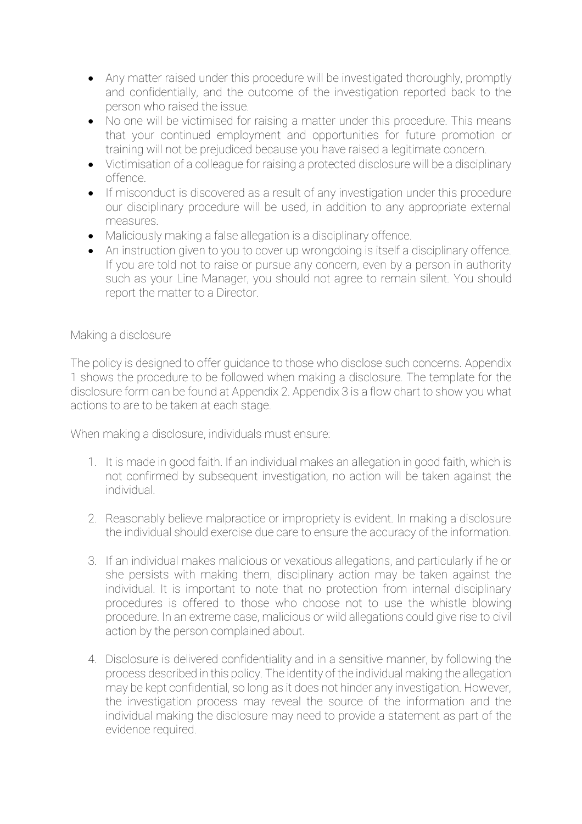- Any matter raised under this procedure will be investigated thoroughly, promptly and confidentially, and the outcome of the investigation reported back to the person who raised the issue.
- No one will be victimised for raising a matter under this procedure. This means that your continued employment and opportunities for future promotion or training will not be prejudiced because you have raised a legitimate concern.
- Victimisation of a colleague for raising a protected disclosure will be a disciplinary offence.
- If misconduct is discovered as a result of any investigation under this procedure our disciplinary procedure will be used, in addition to any appropriate external measures.
- Maliciously making a false allegation is a disciplinary offence.
- An instruction given to you to cover up wrongdoing is itself a disciplinary offence. If you are told not to raise or pursue any concern, even by a person in authority such as your Line Manager, you should not agree to remain silent. You should report the matter to a Director.

#### Making a disclosure

The policy is designed to offer guidance to those who disclose such concerns. Appendix 1 shows the procedure to be followed when making a disclosure. The template for the disclosure form can be found at Appendix 2. Appendix 3 is a flow chart to show you what actions to are to be taken at each stage.

When making a disclosure, individuals must ensure:

- 1. It is made in good faith. If an individual makes an allegation in good faith, which is not confirmed by subsequent investigation, no action will be taken against the individual.
- 2. Reasonably believe malpractice or impropriety is evident. In making a disclosure the individual should exercise due care to ensure the accuracy of the information.
- 3. If an individual makes malicious or vexatious allegations, and particularly if he or she persists with making them, disciplinary action may be taken against the individual. It is important to note that no protection from internal disciplinary procedures is offered to those who choose not to use the whistle blowing procedure. In an extreme case, malicious or wild allegations could give rise to civil action by the person complained about.
- 4. Disclosure is delivered confidentiality and in a sensitive manner, by following the process described in this policy. The identity of the individual making the allegation may be kept confidential, so long as it does not hinder any investigation. However, the investigation process may reveal the source of the information and the individual making the disclosure may need to provide a statement as part of the evidence required.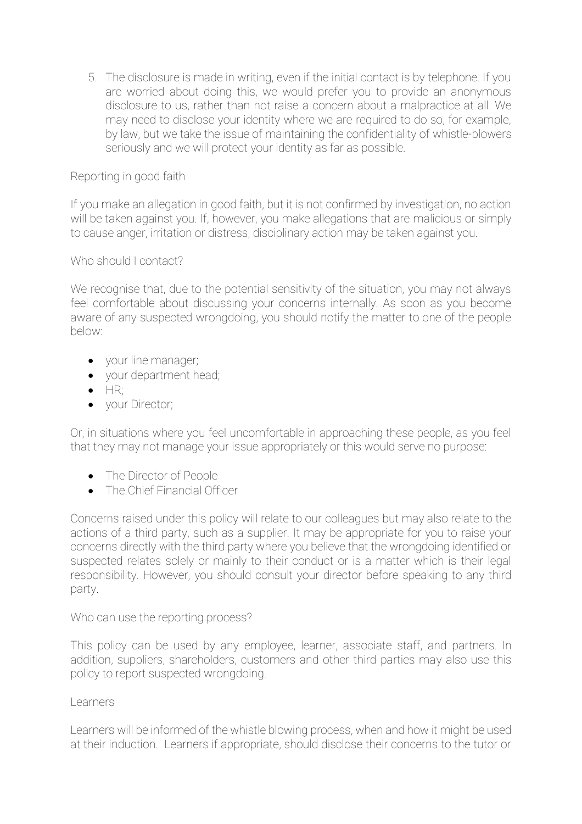5. The disclosure is made in writing, even if the initial contact is by telephone. If you are worried about doing this, we would prefer you to provide an anonymous disclosure to us, rather than not raise a concern about a malpractice at all. We may need to disclose your identity where we are required to do so, for example, by law, but we take the issue of maintaining the confidentiality of whistle-blowers seriously and we will protect your identity as far as possible.

#### Reporting in good faith

If you make an allegation in good faith, but it is not confirmed by investigation, no action will be taken against you. If, however, you make allegations that are malicious or simply to cause anger, irritation or distress, disciplinary action may be taken against you.

#### Who should I contact?

We recognise that, due to the potential sensitivity of the situation, you may not always feel comfortable about discussing your concerns internally. As soon as you become aware of any suspected wrongdoing, you should notify the matter to one of the people below:

- your line manager;
- your department head;
- $\bullet$  HR;
- your Director;

Or, in situations where you feel uncomfortable in approaching these people, as you feel that they may not manage your issue appropriately or this would serve no purpose:

- The Director of People
- The Chief Financial Officer

Concerns raised under this policy will relate to our colleagues but may also relate to the actions of a third party, such as a supplier. It may be appropriate for you to raise your concerns directly with the third party where you believe that the wrongdoing identified or suspected relates solely or mainly to their conduct or is a matter which is their legal responsibility. However, you should consult your director before speaking to any third party.

Who can use the reporting process?

This policy can be used by any employee, learner, associate staff, and partners. In addition, suppliers, shareholders, customers and other third parties may also use this policy to report suspected wrongdoing.

#### Learners

Learners will be informed of the whistle blowing process, when and how it might be used at their induction. Learners if appropriate, should disclose their concerns to the tutor or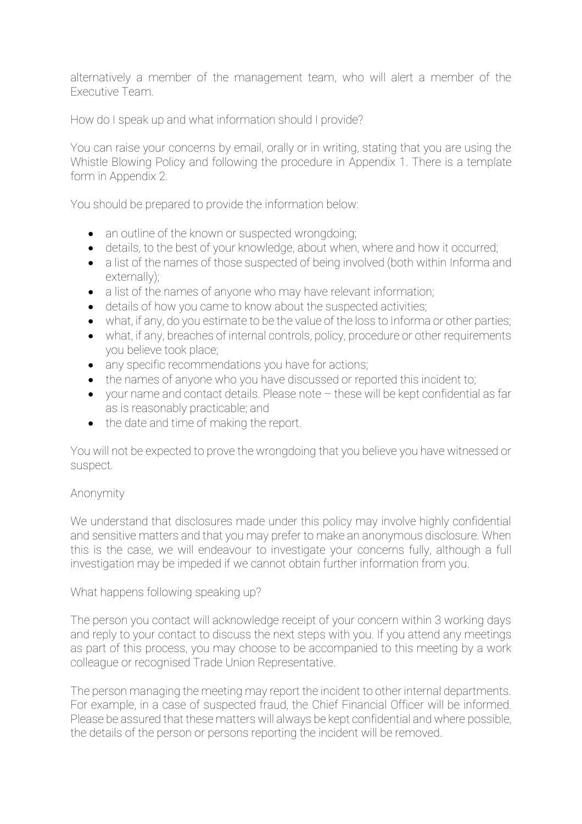alternatively a member of the management team, who will alert a member of the Executive Team.

How do I speak up and what information should I provide?

You can raise your concerns by email, orally or in writing, stating that you are using the Whistle Blowing Policy and following the procedure in Appendix 1. There is a template form in Appendix 2.

You should be prepared to provide the information below:

- an outline of the known or suspected wrongdoing;
- details, to the best of your knowledge, about when, where and how it occurred;
- a list of the names of those suspected of being involved (both within Informa and externally);
- a list of the names of anyone who may have relevant information;
- details of how you came to know about the suspected activities;
- what, if any, do you estimate to be the value of the loss to Informa or other parties;
- what, if any, breaches of internal controls, policy, procedure or other requirements you believe took place;
- any specific recommendations you have for actions;
- the names of anyone who you have discussed or reported this incident to;
- your name and contact details. Please note these will be kept confidential as far as is reasonably practicable; and
- the date and time of making the report.

You will not be expected to prove the wrongdoing that you believe you have witnessed or suspect.

#### Anonymity

We understand that disclosures made under this policy may involve highly confidential and sensitive matters and that you may prefer to make an anonymous disclosure. When this is the case, we will endeavour to investigate your concerns fully, although a full investigation may be impeded if we cannot obtain further information from you.

What happens following speaking up?

The person you contact will acknowledge receipt of your concern within 3 working days and reply to your contact to discuss the next steps with you. If you attend any meetings as part of this process, you may choose to be accompanied to this meeting by a work colleague or recognised Trade Union Representative.

The person managing the meeting may report the incident to other internal departments. For example, in a case of suspected fraud, the Chief Financial Officer will be informed. Please be assured that these matters will always be kept confidential and where possible, the details of the person or persons reporting the incident will be removed.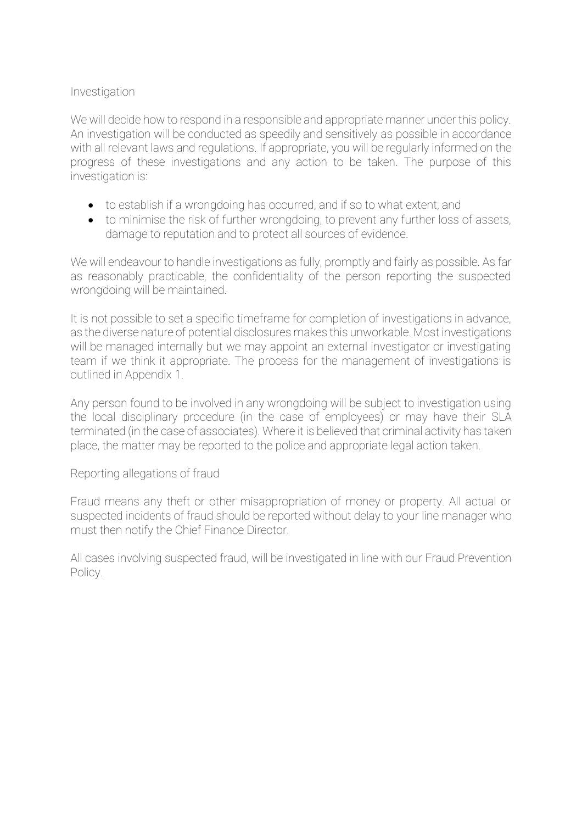#### Investigation

We will decide how to respond in a responsible and appropriate manner under this policy. An investigation will be conducted as speedily and sensitively as possible in accordance with all relevant laws and regulations. If appropriate, you will be regularly informed on the progress of these investigations and any action to be taken. The purpose of this investigation is:

- to establish if a wrongdoing has occurred, and if so to what extent; and
- to minimise the risk of further wrongdoing, to prevent any further loss of assets, damage to reputation and to protect all sources of evidence.

We will endeavour to handle investigations as fully, promptly and fairly as possible. As far as reasonably practicable, the confidentiality of the person reporting the suspected wrongdoing will be maintained.

It is not possible to set a specific timeframe for completion of investigations in advance, as the diverse nature of potential disclosures makes this unworkable. Most investigations will be managed internally but we may appoint an external investigator or investigating team if we think it appropriate. The process for the management of investigations is outlined in Appendix 1.

Any person found to be involved in any wrongdoing will be subject to investigation using the local disciplinary procedure (in the case of employees) or may have their SLA terminated (in the case of associates). Where it is believed that criminal activity has taken place, the matter may be reported to the police and appropriate legal action taken.

#### Reporting allegations of fraud

Fraud means any theft or other misappropriation of money or property. All actual or suspected incidents of fraud should be reported without delay to your line manager who must then notify the Chief Finance Director.

All cases involving suspected fraud, will be investigated in line with our Fraud Prevention Policy.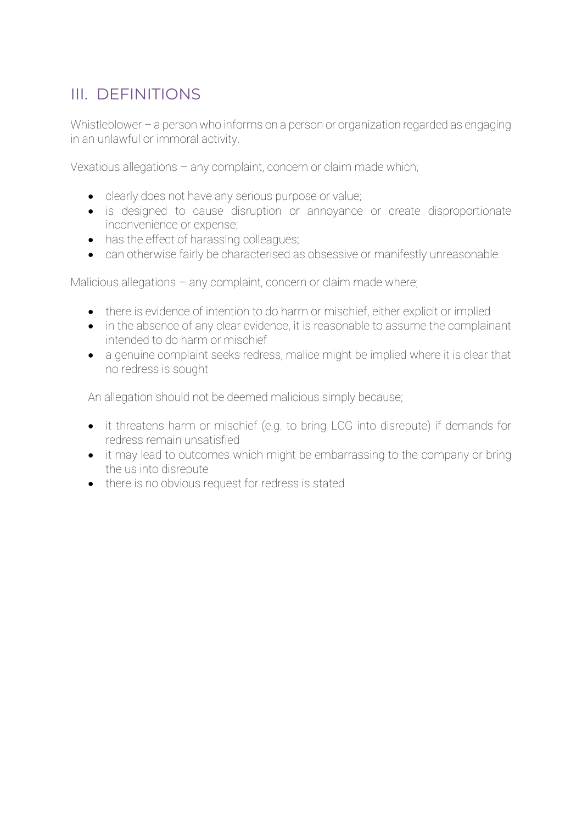## III. DEFINITIONS

Whistleblower – a person who informs on a person or organization regarded as engaging in an unlawful or immoral activity.

Vexatious allegations – any complaint, concern or claim made which;

- clearly does not have any serious purpose or value;
- is designed to cause disruption or annoyance or create disproportionate inconvenience or expense;
- has the effect of harassing colleagues;
- can otherwise fairly be characterised as obsessive or manifestly unreasonable.

Malicious allegations – any complaint, concern or claim made where;

- there is evidence of intention to do harm or mischief, either explicit or implied
- in the absence of any clear evidence, it is reasonable to assume the complainant intended to do harm or mischief
- a genuine complaint seeks redress, malice might be implied where it is clear that no redress is sought

An allegation should not be deemed malicious simply because;

- it threatens harm or mischief (e.g. to bring LCG into disrepute) if demands for redress remain unsatisfied
- it may lead to outcomes which might be embarrassing to the company or bring the us into disrepute
- there is no obvious request for redress is stated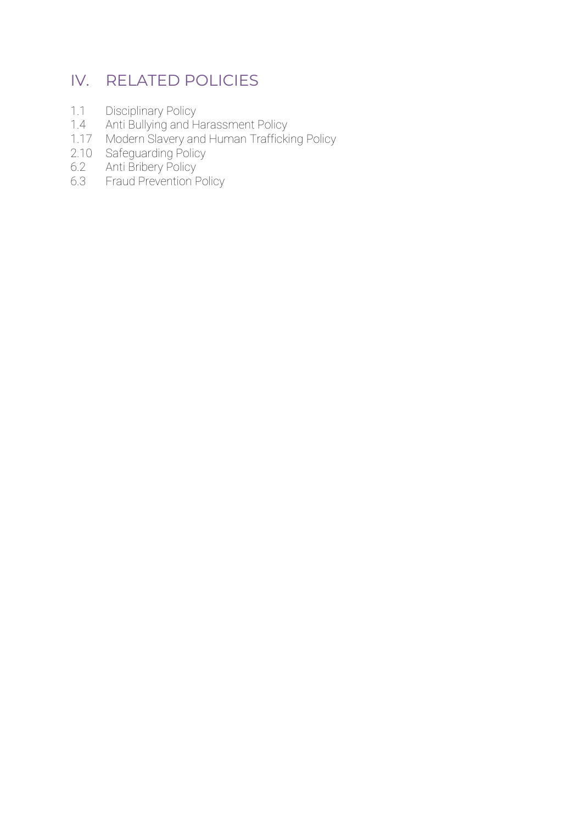## IV. RELATED POLICIES

- 1.1 Disciplinary Policy
- 1.4 Anti Bullying and Harassment Policy
- 1.17 Modern Slavery and Human Trafficking Policy
- 2.10 Safeguarding Policy
- 6.2 Anti Bribery Policy
- 6.3 Fraud Prevention Policy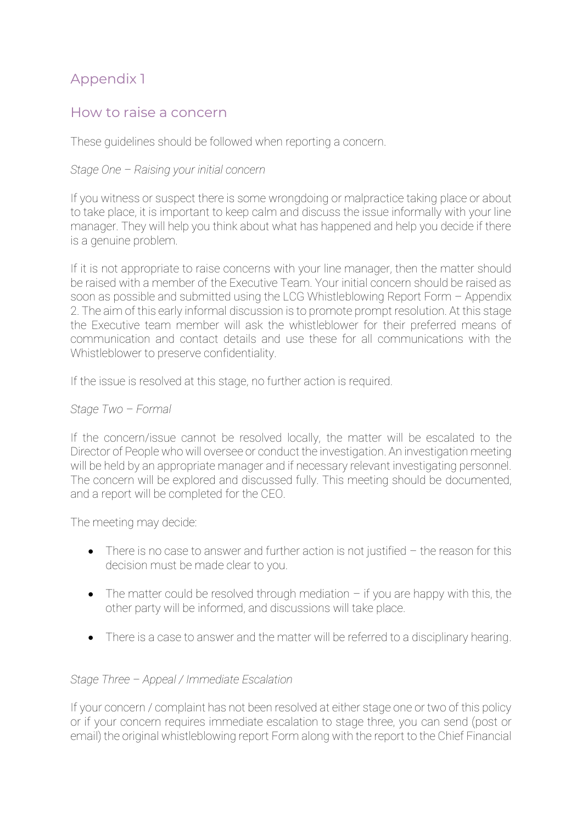## Appendix 1

### How to raise a concern

These guidelines should be followed when reporting a concern.

#### *Stage One – Raising your initial concern*

If you witness or suspect there is some wrongdoing or malpractice taking place or about to take place, it is important to keep calm and discuss the issue informally with your line manager. They will help you think about what has happened and help you decide if there is a genuine problem.

If it is not appropriate to raise concerns with your line manager, then the matter should be raised with a member of the Executive Team. Your initial concern should be raised as soon as possible and submitted using the LCG Whistleblowing Report Form – Appendix 2. The aim of this early informal discussion is to promote prompt resolution. At this stage the Executive team member will ask the whistleblower for their preferred means of communication and contact details and use these for all communications with the Whistleblower to preserve confidentiality.

If the issue is resolved at this stage, no further action is required.

#### *Stage Two – Formal*

If the concern/issue cannot be resolved locally, the matter will be escalated to the Director of People who will oversee or conduct the investigation. An investigation meeting will be held by an appropriate manager and if necessary relevant investigating personnel. The concern will be explored and discussed fully. This meeting should be documented, and a report will be completed for the CEO.

The meeting may decide:

- There is no case to answer and further action is not justified the reason for this decision must be made clear to you.
- The matter could be resolved through mediation  $-$  if you are happy with this, the other party will be informed, and discussions will take place.
- There is a case to answer and the matter will be referred to a disciplinary hearing.

#### *Stage Three – Appeal / Immediate Escalation*

If your concern / complaint has not been resolved at either stage one or two of this policy or if your concern requires immediate escalation to stage three, you can send (post or email) the original whistleblowing report Form along with the report to the Chief Financial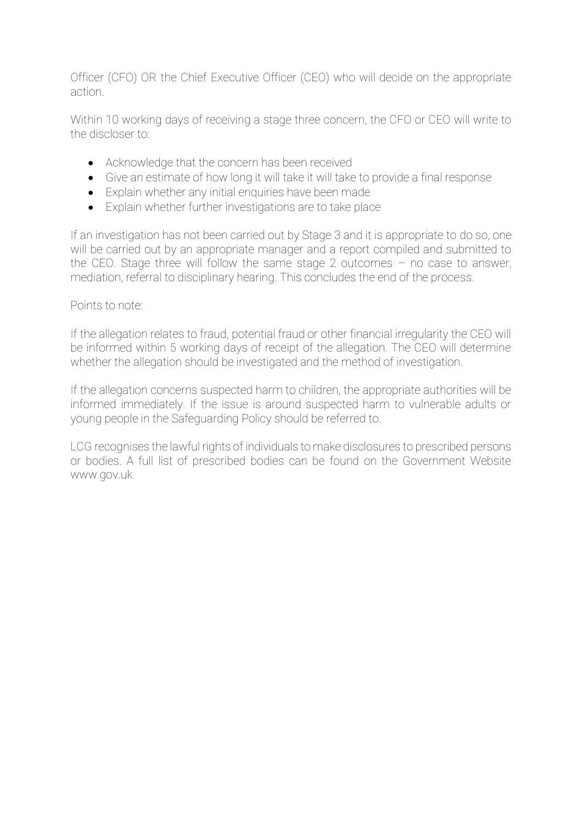Officer (CFO) OR the Chief Executive Officer (CEO) who will decide on the appropriate action.

Within 10 working days of receiving a stage three concern, the CFO or CEO will write to the discloser to:

- Acknowledge that the concern has been received
- Give an estimate of how long it will take it will take to provide a final response
- Explain whether any initial enquiries have been made
- Explain whether further investigations are to take place

If an investigation has not been carried out by Stage 3 and it is appropriate to do so, one will be carried out by an appropriate manager and a report compiled and submitted to the CEO. Stage three will follow the same stage 2 outcomes – no case to answer, mediation, referral to disciplinary hearing. This concludes the end of the process.

#### Points to note:

If the allegation relates to fraud, potential fraud or other financial irregularity the CEO will be informed within 5 working days of receipt of the allegation. The CEO will determine whether the allegation should be investigated and the method of investigation.

If the allegation concerns suspected harm to children, the appropriate authorities will be informed immediately. If the issue is around suspected harm to vulnerable adults or young people in the Safeguarding Policy should be referred to.

LCG recognises the lawful rights of individuals to make disclosures to prescribed persons or bodies. A full list of prescribed bodies can be found on the Government Website www.gov.uk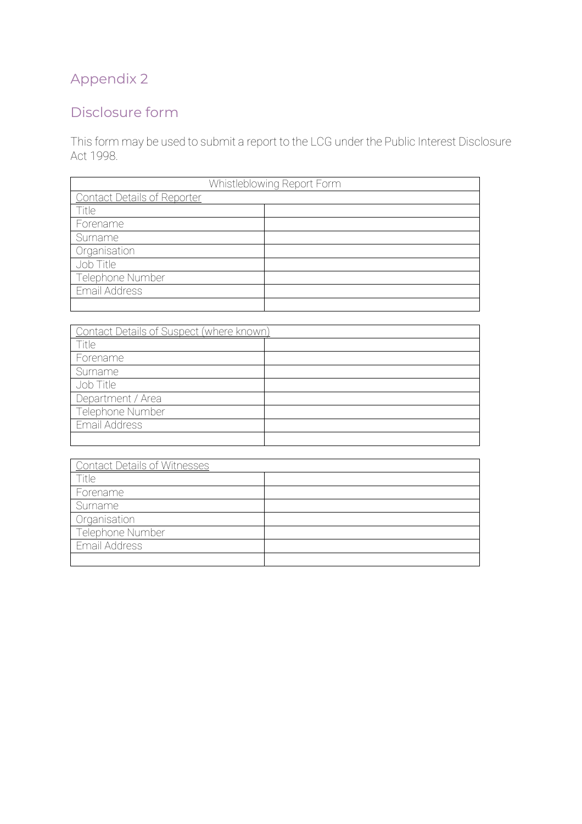## Appendix 2

## Disclosure form

This form may be used to submit a report to the LCG under the Public Interest Disclosure Act 1998.

|                                    | Whistleblowing Report Form |
|------------------------------------|----------------------------|
| <b>Contact Details of Reporter</b> |                            |
| Title                              |                            |
| Forename                           |                            |
| Surname                            |                            |
| Organisation                       |                            |
| Job Title                          |                            |
| Telephone Number                   |                            |
| <b>Email Address</b>               |                            |
|                                    |                            |

| <b>Contact Details of Suspect (where known)</b> |  |  |
|-------------------------------------------------|--|--|
| Title                                           |  |  |
| Forename                                        |  |  |
| Surname                                         |  |  |
| Job Title                                       |  |  |
| Department / Area                               |  |  |
| Telephone Number                                |  |  |
| <b>Email Address</b>                            |  |  |
|                                                 |  |  |

| Contact Details of Witnesses |  |  |
|------------------------------|--|--|
| Title                        |  |  |
| Forename                     |  |  |
| Surname                      |  |  |
| Organisation                 |  |  |
| Telephone Number             |  |  |
| <b>Email Address</b>         |  |  |
|                              |  |  |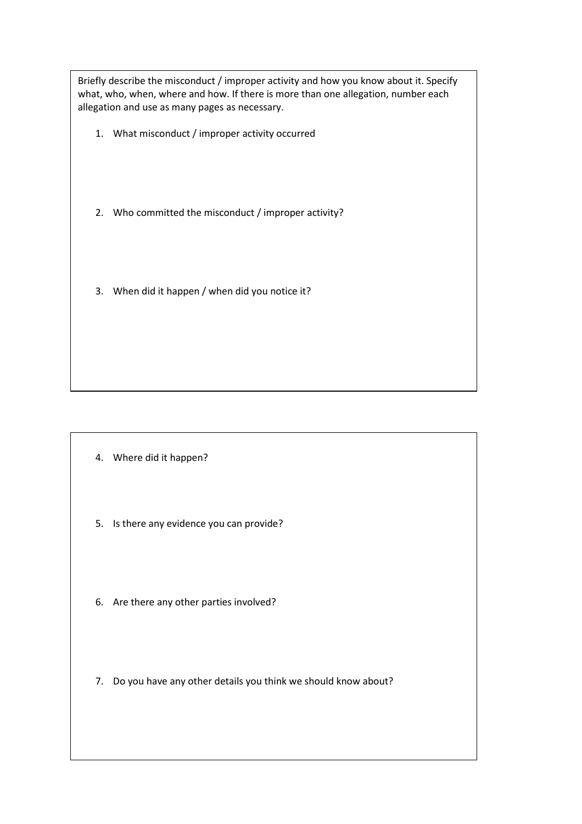Briefly describe the misconduct / improper activity and how you know about it. Specify what, who, when, where and how. If there is more than one allegation, number each allegation and use as many pages as necessary.

- 1. What misconduct / improper activity occurred
- 2. Who committed the misconduct / improper activity?
- 3. When did it happen / when did you notice it?

- 4. Where did it happen?
- 5. Is there any evidence you can provide?
- 6. Are there any other parties involved?
- 7. Do you have any other details you think we should know about?